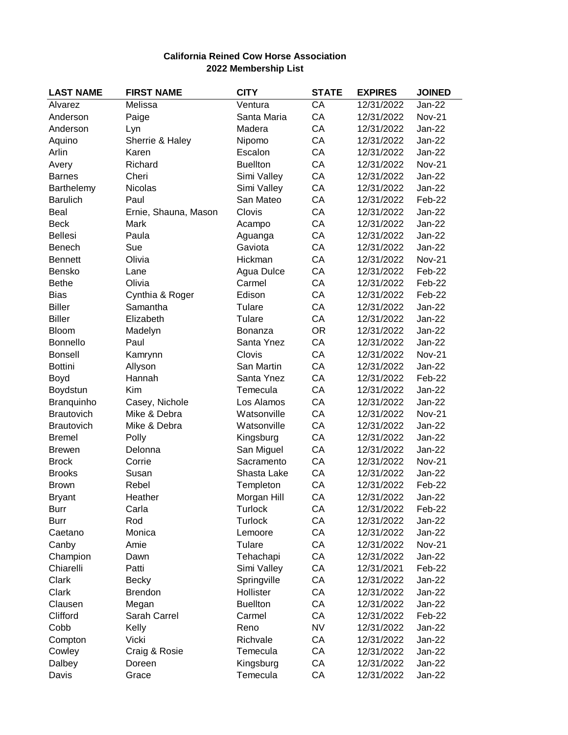## **California Reined Cow Horse Association 2022 Membership List**

| <b>LAST NAME</b>  | <b>FIRST NAME</b>    | <b>CITY</b>     | <b>STATE</b> | <b>EXPIRES</b> | <b>JOINED</b> |
|-------------------|----------------------|-----------------|--------------|----------------|---------------|
| Alvarez           | Melissa              | Ventura         | CA           | 12/31/2022     | <b>Jan-22</b> |
| Anderson          | Paige                | Santa Maria     | CA           | 12/31/2022     | <b>Nov-21</b> |
| Anderson          | Lyn                  | Madera          | CA           | 12/31/2022     | <b>Jan-22</b> |
| Aquino            | Sherrie & Haley      | Nipomo          | CA           | 12/31/2022     | $Jan-22$      |
| Arlin             | Karen                | Escalon         | CA           | 12/31/2022     | <b>Jan-22</b> |
| Avery             | Richard              | <b>Buellton</b> | CA           | 12/31/2022     | <b>Nov-21</b> |
| <b>Barnes</b>     | Cheri                | Simi Valley     | CA           | 12/31/2022     | Jan-22        |
| Barthelemy        | Nicolas              | Simi Valley     | CA           | 12/31/2022     | <b>Jan-22</b> |
| <b>Barulich</b>   | Paul                 | San Mateo       | CA           | 12/31/2022     | Feb-22        |
| Beal              | Ernie, Shauna, Mason | Clovis          | CA           | 12/31/2022     | <b>Jan-22</b> |
| <b>Beck</b>       | Mark                 | Acampo          | CA           | 12/31/2022     | Jan-22        |
| <b>Bellesi</b>    | Paula                | Aguanga         | CA           | 12/31/2022     | Jan-22        |
| Benech            | Sue                  | Gaviota         | CA           | 12/31/2022     | <b>Jan-22</b> |
| <b>Bennett</b>    | Olivia               | Hickman         | CA           | 12/31/2022     | <b>Nov-21</b> |
| Bensko            | Lane                 | Agua Dulce      | CA           | 12/31/2022     | Feb-22        |
| <b>Bethe</b>      | Olivia               | Carmel          | CA           | 12/31/2022     | Feb-22        |
| <b>Bias</b>       | Cynthia & Roger      | Edison          | CA           | 12/31/2022     | Feb-22        |
| <b>Biller</b>     | Samantha             | Tulare          | CA           | 12/31/2022     | <b>Jan-22</b> |
| <b>Biller</b>     | Elizabeth            | Tulare          | CA           | 12/31/2022     | <b>Jan-22</b> |
| Bloom             | Madelyn              | Bonanza         | <b>OR</b>    | 12/31/2022     | <b>Jan-22</b> |
| <b>Bonnello</b>   | Paul                 | Santa Ynez      | CA           | 12/31/2022     | Jan-22        |
| <b>Bonsell</b>    | Kamrynn              | Clovis          | CA           | 12/31/2022     | <b>Nov-21</b> |
| <b>Bottini</b>    | Allyson              | San Martin      | CA           | 12/31/2022     | Jan-22        |
| Boyd              | Hannah               | Santa Ynez      | CA           | 12/31/2022     | Feb-22        |
| Boydstun          | Kim                  | Temecula        | CA           | 12/31/2022     | <b>Jan-22</b> |
| Branquinho        | Casey, Nichole       | Los Alamos      | CA           | 12/31/2022     | $Jan-22$      |
| <b>Brautovich</b> | Mike & Debra         | Watsonville     | CA           | 12/31/2022     | <b>Nov-21</b> |
| <b>Brautovich</b> | Mike & Debra         | Watsonville     | CA           | 12/31/2022     | <b>Jan-22</b> |
| <b>Bremel</b>     | Polly                | Kingsburg       | CA           | 12/31/2022     | Jan-22        |
| <b>Brewen</b>     | Delonna              | San Miguel      | CA           | 12/31/2022     | <b>Jan-22</b> |
| <b>Brock</b>      | Corrie               | Sacramento      | CA           | 12/31/2022     | <b>Nov-21</b> |
| <b>Brooks</b>     | Susan                | Shasta Lake     | CA           | 12/31/2022     | Jan-22        |
| <b>Brown</b>      | Rebel                | Templeton       | CA           | 12/31/2022     | Feb-22        |
| <b>Bryant</b>     | Heather              | Morgan Hill     | CA           | 12/31/2022     | Jan-22        |
| <b>Burr</b>       | Carla                | <b>Turlock</b>  | CA           | 12/31/2022     | Feb-22        |
| Burr              | Rod                  | <b>Turlock</b>  | CA           | 12/31/2022     | Jan-22        |
| Caetano           | Monica               | Lemoore         | CA           | 12/31/2022     | <b>Jan-22</b> |
| Canby             | Amie                 | Tulare          | CA           | 12/31/2022     | <b>Nov-21</b> |
| Champion          | Dawn                 | Tehachapi       | CA           | 12/31/2022     | Jan-22        |
| Chiarelli         | Patti                | Simi Valley     | CA           | 12/31/2021     | Feb-22        |
| Clark             | <b>Becky</b>         | Springville     | CA           | 12/31/2022     | Jan-22        |
| Clark             | <b>Brendon</b>       | Hollister       | CA           | 12/31/2022     | <b>Jan-22</b> |
| Clausen           | Megan                | <b>Buellton</b> | CA           | 12/31/2022     | Jan-22        |
| Clifford          | Sarah Carrel         | Carmel          | CA           | 12/31/2022     | Feb-22        |
| Cobb              | Kelly                | Reno            | <b>NV</b>    | 12/31/2022     | Jan-22        |
| Compton           | Vicki                | Richvale        | CA           | 12/31/2022     | Jan-22        |
| Cowley            | Craig & Rosie        | Temecula        | CA           | 12/31/2022     | Jan-22        |
| Dalbey            | Doreen               | Kingsburg       | CA           | 12/31/2022     | Jan-22        |
| Davis             | Grace                | Temecula        | CA           | 12/31/2022     | Jan-22        |
|                   |                      |                 |              |                |               |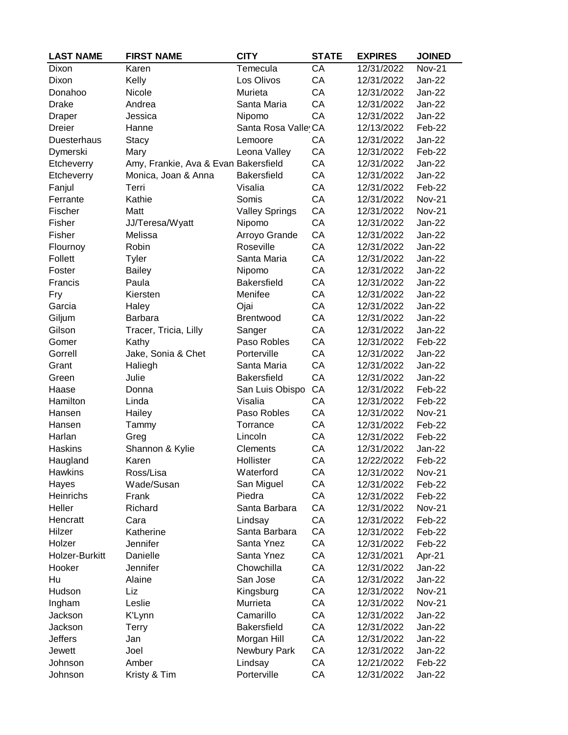| <b>LAST NAME</b> | <b>FIRST NAME</b>                    | <b>CITY</b>           | <b>STATE</b> | <b>EXPIRES</b> | <b>JOINED</b> |
|------------------|--------------------------------------|-----------------------|--------------|----------------|---------------|
| Dixon            | Karen                                | Temecula              | CA           | 12/31/2022     | <b>Nov-21</b> |
| Dixon            | Kelly                                | Los Olivos            | CA           | 12/31/2022     | Jan-22        |
| Donahoo          | Nicole                               | Murieta               | CA           | 12/31/2022     | Jan-22        |
| <b>Drake</b>     | Andrea                               | Santa Maria           | CA           | 12/31/2022     | <b>Jan-22</b> |
| Draper           | Jessica                              | Nipomo                | CA           | 12/31/2022     | $Jan-22$      |
| Dreier           | Hanne                                | Santa Rosa Valle CA   |              | 12/13/2022     | Feb-22        |
| Duesterhaus      | <b>Stacy</b>                         | Lemoore               | CA           | 12/31/2022     | Jan-22        |
| Dymerski         | Mary                                 | Leona Valley          | CA           | 12/31/2022     | Feb-22        |
| Etcheverry       | Amy, Frankie, Ava & Evan Bakersfield |                       | CA           | 12/31/2022     | <b>Jan-22</b> |
| Etcheverry       | Monica, Joan & Anna                  | <b>Bakersfield</b>    | CA           | 12/31/2022     | Jan-22        |
| Fanjul           | Terri                                | Visalia               | CA           | 12/31/2022     | Feb-22        |
| Ferrante         | Kathie                               | Somis                 | CA           | 12/31/2022     | <b>Nov-21</b> |
| Fischer          | Matt                                 | <b>Valley Springs</b> | CA           | 12/31/2022     | <b>Nov-21</b> |
| Fisher           | JJ/Teresa/Wyatt                      | Nipomo                | CA           | 12/31/2022     | Jan-22        |
| Fisher           | Melissa                              | Arroyo Grande         | CA           | 12/31/2022     | Jan-22        |
| Flournoy         | Robin                                | Roseville             | CA           | 12/31/2022     | <b>Jan-22</b> |
| Follett          | Tyler                                | Santa Maria           | CA           | 12/31/2022     | Jan-22        |
| Foster           | <b>Bailey</b>                        | Nipomo                | CA           | 12/31/2022     | <b>Jan-22</b> |
| Francis          | Paula                                | <b>Bakersfield</b>    | CA           | 12/31/2022     | <b>Jan-22</b> |
| Fry              | Kiersten                             | Menifee               | CA           | 12/31/2022     | <b>Jan-22</b> |
| Garcia           | Haley                                | Ojai                  | CA           | 12/31/2022     | <b>Jan-22</b> |
| Giljum           | Barbara                              | Brentwood             | CA           | 12/31/2022     | Jan-22        |
| Gilson           | Tracer, Tricia, Lilly                | Sanger                | CA           | 12/31/2022     | Jan-22        |
| Gomer            | Kathy                                | Paso Robles           | CA           | 12/31/2022     | Feb-22        |
| Gorrell          | Jake, Sonia & Chet                   | Porterville           | CA           | 12/31/2022     | <b>Jan-22</b> |
| Grant            | Haliegh                              | Santa Maria           | CA           | 12/31/2022     | $Jan-22$      |
| Green            | Julie                                | Bakersfield           | CA           | 12/31/2022     | <b>Jan-22</b> |
| Haase            | Donna                                | San Luis Obispo       | CA           | 12/31/2022     | Feb-22        |
| Hamilton         | Linda                                | Visalia               | CA           | 12/31/2022     | Feb-22        |
| Hansen           | Hailey                               | Paso Robles           | CA           | 12/31/2022     | <b>Nov-21</b> |
| Hansen           | Tammy                                | Torrance              | CA           | 12/31/2022     | Feb-22        |
| Harlan           | Greg                                 | Lincoln               | CA           | 12/31/2022     | Feb-22        |
| <b>Haskins</b>   | Shannon & Kylie                      | Clements              | CA           | 12/31/2022     | <b>Jan-22</b> |
| Haugland         | Karen                                | Hollister             | CA           | 12/22/2022     | Feb-22        |
| <b>Hawkins</b>   | Ross/Lisa                            | Waterford             | CA           | 12/31/2022     | <b>Nov-21</b> |
| Hayes            | Wade/Susan                           | San Miguel            | CA           | 12/31/2022     | Feb-22        |
| Heinrichs        | Frank                                | Piedra                | CA           | 12/31/2022     | Feb-22        |
| Heller           | Richard                              | Santa Barbara         | CA           | 12/31/2022     | <b>Nov-21</b> |
| Hencratt         | Cara                                 | Lindsay               | CA           | 12/31/2022     | Feb-22        |
| Hilzer           | Katherine                            | Santa Barbara         | CA           | 12/31/2022     | Feb-22        |
| Holzer           | Jennifer                             | Santa Ynez            | CA           | 12/31/2022     | Feb-22        |
| Holzer-Burkitt   | Danielle                             | Santa Ynez            | CA           | 12/31/2021     | Apr-21        |
| Hooker           | Jennifer                             | Chowchilla            | CA           | 12/31/2022     | Jan-22        |
| Hu               | Alaine                               | San Jose              | CA           | 12/31/2022     | Jan-22        |
| Hudson           | Liz                                  | Kingsburg             | CA           | 12/31/2022     | <b>Nov-21</b> |
| Ingham           | Leslie                               | Murrieta              | CA           | 12/31/2022     | <b>Nov-21</b> |
| Jackson          | K'Lynn                               | Camarillo             | CA           | 12/31/2022     | Jan-22        |
| Jackson          | <b>Terry</b>                         | <b>Bakersfield</b>    | CA           | 12/31/2022     | Jan-22        |
| <b>Jeffers</b>   | Jan                                  | Morgan Hill           | CA           | 12/31/2022     | <b>Jan-22</b> |
| Jewett           | Joel                                 | Newbury Park          | CA           | 12/31/2022     | Jan-22        |
| Johnson          | Amber                                | Lindsay               | CA           | 12/21/2022     | Feb-22        |
| Johnson          | Kristy & Tim                         | Porterville           | CA           | 12/31/2022     | Jan-22        |
|                  |                                      |                       |              |                |               |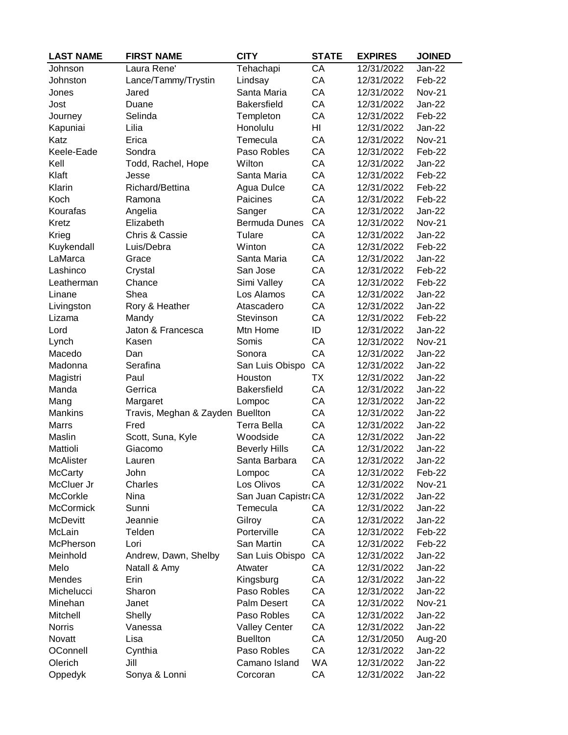| <b>LAST NAME</b> | <b>FIRST NAME</b>                | <b>CITY</b>          | <b>STATE</b> | <b>EXPIRES</b> | <b>JOINED</b> |
|------------------|----------------------------------|----------------------|--------------|----------------|---------------|
| Johnson          | Laura Rene'                      | Tehachapi            | CA           | 12/31/2022     | Jan-22        |
| Johnston         | Lance/Tammy/Trystin              | Lindsay              | CA           | 12/31/2022     | Feb-22        |
| Jones            | Jared                            | Santa Maria          | CA           | 12/31/2022     | <b>Nov-21</b> |
| Jost             | Duane                            | <b>Bakersfield</b>   | CA           | 12/31/2022     | Jan-22        |
| Journey          | Selinda                          | Templeton            | CA           | 12/31/2022     | Feb-22        |
| Kapuniai         | Lilia                            | Honolulu             | HI           | 12/31/2022     | Jan-22        |
| Katz             | Erica                            | Temecula             | CA           | 12/31/2022     | <b>Nov-21</b> |
| Keele-Eade       | Sondra                           | Paso Robles          | CA           | 12/31/2022     | Feb-22        |
| Kell             | Todd, Rachel, Hope               | Wilton               | CA           | 12/31/2022     | Jan-22        |
| Klaft            | Jesse                            | Santa Maria          | CA           | 12/31/2022     | Feb-22        |
| Klarin           | Richard/Bettina                  | Agua Dulce           | CA           | 12/31/2022     | Feb-22        |
| Koch             | Ramona                           | Paicines             | CA           | 12/31/2022     | Feb-22        |
| Kourafas         | Angelia                          | Sanger               | CA           | 12/31/2022     | $Jan-22$      |
| Kretz            | Elizabeth                        | <b>Bermuda Dunes</b> | CA           | 12/31/2022     | <b>Nov-21</b> |
| Krieg            | Chris & Cassie                   | Tulare               | CA           | 12/31/2022     | Jan-22        |
| Kuykendall       | Luis/Debra                       | Winton               | CA           | 12/31/2022     | Feb-22        |
| LaMarca          | Grace                            | Santa Maria          | CA           | 12/31/2022     | Jan-22        |
| Lashinco         | Crystal                          | San Jose             | CA           | 12/31/2022     | Feb-22        |
| Leatherman       | Chance                           | Simi Valley          | CA           | 12/31/2022     | Feb-22        |
| Linane           | Shea                             | Los Alamos           | CA           | 12/31/2022     | <b>Jan-22</b> |
| Livingston       | Rory & Heather                   | Atascadero           | CA           | 12/31/2022     | <b>Jan-22</b> |
| Lizama           | Mandy                            | Stevinson            | CA           | 12/31/2022     | Feb-22        |
| Lord             | Jaton & Francesca                | Mtn Home             | ID           | 12/31/2022     | Jan-22        |
| Lynch            | Kasen                            | Somis                | CA           | 12/31/2022     | <b>Nov-21</b> |
| Macedo           | Dan                              | Sonora               | CA           | 12/31/2022     | $Jan-22$      |
| Madonna          | Serafina                         | San Luis Obispo      | CA           | 12/31/2022     | Jan-22        |
| Magistri         | Paul                             | Houston              | <b>TX</b>    | 12/31/2022     | Jan-22        |
| Manda            | Gerrica                          | Bakersfield          | CA           | 12/31/2022     | <b>Jan-22</b> |
| Mang             | Margaret                         | Lompoc               | CA           | 12/31/2022     | Jan-22        |
| <b>Mankins</b>   | Travis, Meghan & Zayden Buellton |                      | CA           | 12/31/2022     | Jan-22        |
| <b>Marrs</b>     | Fred                             | <b>Terra Bella</b>   | CA           | 12/31/2022     | Jan-22        |
| Maslin           | Scott, Suna, Kyle                | Woodside             | CA           | 12/31/2022     | Jan-22        |
| Mattioli         | Giacomo                          | <b>Beverly Hills</b> | CA           | 12/31/2022     | Jan-22        |
| <b>McAlister</b> | Lauren                           | Santa Barbara        | CA           | 12/31/2022     | Jan-22        |
| <b>McCarty</b>   | John                             | Lompoc               | CA           | 12/31/2022     | Feb-22        |
| McCluer Jr       | Charles                          | Los Olivos           | CA           | 12/31/2022     | <b>Nov-21</b> |
| McCorkle         | Nina                             | San Juan Capistr CA  |              | 12/31/2022     | Jan-22        |
| <b>McCormick</b> | Sunni                            | Temecula             | СA           | 12/31/2022     | Jan-22        |
| <b>McDevitt</b>  | Jeannie                          | Gilroy               | CA           | 12/31/2022     | Jan-22        |
| McLain           | Telden                           | Porterville          | CA           | 12/31/2022     | Feb-22        |
| McPherson        | Lori                             | San Martin           | CA           | 12/31/2022     | Feb-22        |
| Meinhold         | Andrew, Dawn, Shelby             | San Luis Obispo      | CA           | 12/31/2022     | Jan-22        |
| Melo             | Natall & Amy                     | Atwater              | CA           | 12/31/2022     | Jan-22        |
| Mendes           | Erin                             | Kingsburg            | CA           | 12/31/2022     | Jan-22        |
| Michelucci       | Sharon                           | Paso Robles          | CA           | 12/31/2022     | Jan-22        |
| Minehan          | Janet                            | Palm Desert          | CA           | 12/31/2022     | Nov-21        |
| Mitchell         | Shelly                           | Paso Robles          | CA           | 12/31/2022     | Jan-22        |
| <b>Norris</b>    | Vanessa                          | <b>Valley Center</b> | CA           | 12/31/2022     | Jan-22        |
| Novatt           | Lisa                             | <b>Buellton</b>      | CA           | 12/31/2050     | Aug-20        |
| OConnell         | Cynthia                          | Paso Robles          | CA           | 12/31/2022     | Jan-22        |
| Olerich          | Jill                             | Camano Island        | WA           | 12/31/2022     | Jan-22        |
|                  | Sonya & Lonni                    | Corcoran             | CA           | 12/31/2022     | Jan-22        |
| Oppedyk          |                                  |                      |              |                |               |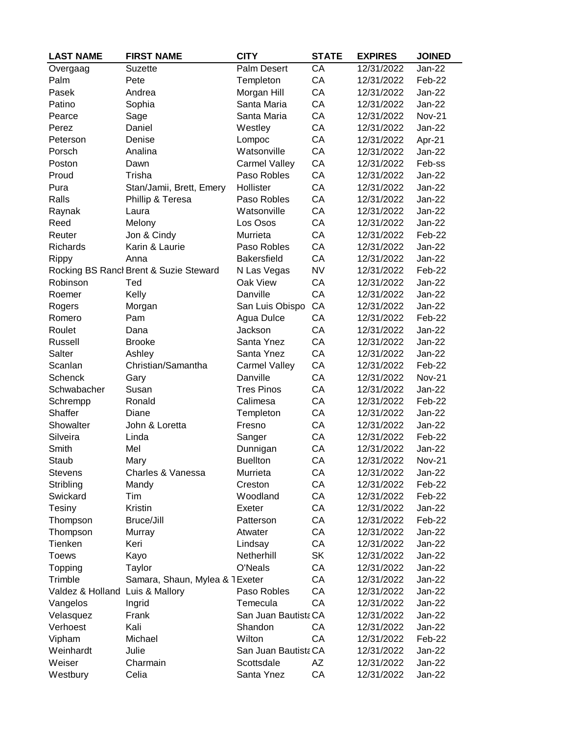| <b>LAST NAME</b>                | <b>FIRST NAME</b>                      | <b>CITY</b>          | <b>STATE</b> | <b>EXPIRES</b> | <b>JOINED</b> |
|---------------------------------|----------------------------------------|----------------------|--------------|----------------|---------------|
| Overgaag                        | <b>Suzette</b>                         | Palm Desert          | CA           | 12/31/2022     | <b>Jan-22</b> |
| Palm                            | Pete                                   | Templeton            | CA           | 12/31/2022     | Feb-22        |
| Pasek                           | Andrea                                 | Morgan Hill          | CA           | 12/31/2022     | <b>Jan-22</b> |
| Patino                          | Sophia                                 | Santa Maria          | CA           | 12/31/2022     | <b>Jan-22</b> |
| Pearce                          | Sage                                   | Santa Maria          | CA           | 12/31/2022     | <b>Nov-21</b> |
| Perez                           | Daniel                                 | Westley              | CA           | 12/31/2022     | <b>Jan-22</b> |
| Peterson                        | Denise                                 | Lompoc               | CA           | 12/31/2022     | Apr-21        |
| Porsch                          | Analina                                | Watsonville          | CA           | 12/31/2022     | Jan-22        |
| Poston                          | Dawn                                   | <b>Carmel Valley</b> | CA           | 12/31/2022     | Feb-ss        |
| Proud                           | Trisha                                 | Paso Robles          | CA           | 12/31/2022     | $Jan-22$      |
| Pura                            | Stan/Jamii, Brett, Emery               | Hollister            | CA           | 12/31/2022     | <b>Jan-22</b> |
| Ralls                           | Phillip & Teresa                       | Paso Robles          | CA           | 12/31/2022     | <b>Jan-22</b> |
| Raynak                          | Laura                                  | Watsonville          | CA           | 12/31/2022     | <b>Jan-22</b> |
| Reed                            | Melony                                 | Los Osos             | CA           | 12/31/2022     | <b>Jan-22</b> |
| Reuter                          | Jon & Cindy                            | Murrieta             | CA           | 12/31/2022     | Feb-22        |
| Richards                        | Karin & Laurie                         | Paso Robles          | CA           | 12/31/2022     | <b>Jan-22</b> |
| Rippy                           | Anna                                   | <b>Bakersfield</b>   | CA           | 12/31/2022     | Jan-22        |
|                                 | Rocking BS Rancl Brent & Suzie Steward | N Las Vegas          | <b>NV</b>    | 12/31/2022     | Feb-22        |
| Robinson                        | Ted                                    | Oak View             | CA           | 12/31/2022     | <b>Jan-22</b> |
| Roemer                          | Kelly                                  | Danville             | CA           | 12/31/2022     | $Jan-22$      |
| Rogers                          | Morgan                                 | San Luis Obispo      | CA           | 12/31/2022     | <b>Jan-22</b> |
| Romero                          | Pam                                    | Agua Dulce           | CA           | 12/31/2022     | Feb-22        |
| Roulet                          | Dana                                   | Jackson              | CA           | 12/31/2022     | <b>Jan-22</b> |
| Russell                         | <b>Brooke</b>                          | Santa Ynez           | CA           | 12/31/2022     | $Jan-22$      |
| Salter                          | Ashley                                 | Santa Ynez           | CA           | 12/31/2022     | <b>Jan-22</b> |
| Scanlan                         | Christian/Samantha                     | <b>Carmel Valley</b> | CA           | 12/31/2022     | Feb-22        |
| <b>Schenck</b>                  | Gary                                   | Danville             | CA           | 12/31/2022     | <b>Nov-21</b> |
| Schwabacher                     | Susan                                  | <b>Tres Pinos</b>    | CA           | 12/31/2022     | $Jan-22$      |
| Schrempp                        | Ronald                                 | Calimesa             | CA           | 12/31/2022     | Feb-22        |
| <b>Shaffer</b>                  | Diane                                  | Templeton            | CA           | 12/31/2022     | <b>Jan-22</b> |
| Showalter                       | John & Loretta                         | Fresno               | CA           | 12/31/2022     | Jan-22        |
| Silveira                        | Linda                                  | Sanger               | CA           | 12/31/2022     | Feb-22        |
| Smith                           | Mel                                    | Dunnigan             | CA           | 12/31/2022     | <b>Jan-22</b> |
| Staub                           | Mary                                   | <b>Buellton</b>      | CA           | 12/31/2022     | <b>Nov-21</b> |
| <b>Stevens</b>                  | Charles & Vanessa                      | Murrieta             | CA           | 12/31/2022     | Jan-22        |
| Stribling                       | Mandy                                  | Creston              | CA           | 12/31/2022     | Feb-22        |
| Swickard                        | Tim                                    | Woodland             | CA           | 12/31/2022     | Feb-22        |
| Tesiny                          | Kristin                                | Exeter               | CA           | 12/31/2022     | <b>Jan-22</b> |
| Thompson                        | Bruce/Jill                             | Patterson            | CA           | 12/31/2022     | Feb-22        |
| Thompson                        | Murray                                 | Atwater              | CA           | 12/31/2022     | Jan-22        |
| Tienken                         | Keri                                   | Lindsay              | CA           | 12/31/2022     | <b>Jan-22</b> |
| <b>Toews</b>                    | Kayo                                   | Netherhill           | <b>SK</b>    | 12/31/2022     | <b>Jan-22</b> |
| Topping                         | Taylor                                 | O'Neals              | CA           | 12/31/2022     | Jan-22        |
| Trimble                         | Samara, Shaun, Mylea & 1 Exeter        |                      | CA           | 12/31/2022     | Jan-22        |
| Valdez & Holland Luis & Mallory |                                        | Paso Robles          | CA           | 12/31/2022     | Jan-22        |
| Vangelos                        | Ingrid                                 | Temecula             | CA           | 12/31/2022     | Jan-22        |
| Velasquez                       | Frank                                  | San Juan Bautista CA |              | 12/31/2022     | Jan-22        |
| Verhoest                        | Kali                                   | Shandon              | CA           | 12/31/2022     | Jan-22        |
| Vipham                          | Michael                                | Wilton               | CA           | 12/31/2022     | Feb-22        |
| Weinhardt                       | Julie                                  | San Juan Bautista CA |              | 12/31/2022     | Jan-22        |
| Weiser                          | Charmain                               | Scottsdale           | AZ           | 12/31/2022     | Jan-22        |
| Westbury                        | Celia                                  | Santa Ynez           | CA           | 12/31/2022     | Jan-22        |
|                                 |                                        |                      |              |                |               |